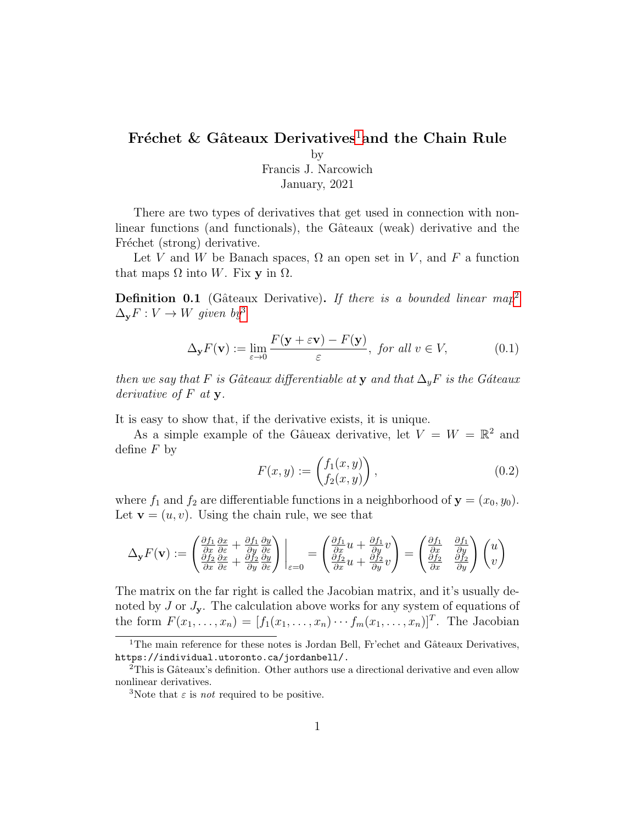## Fréchet & Gâteaux Derivatives<sup>[1](#page-0-0)</sup>and the Chain Rule

by Francis J. Narcowich

January, 2021

There are two types of derivatives that get used in connection with nonlinear functions (and functionals), the Gâteaux (weak) derivative and the Fréchet (strong) derivative.

Let V and W be Banach spaces,  $\Omega$  an open set in V, and F a function that maps  $\Omega$  into W. Fix y in  $\Omega$ .

**Definition 0.1** (Gâteaux Derivative). If there is a bounded linear map<sup>[2](#page-0-1)</sup>  $\Delta_{\mathbf{y}}F: V \to W$  given by<sup>[3](#page-0-2)</sup>

<span id="page-0-3"></span>
$$
\Delta_{\mathbf{y}} F(\mathbf{v}) := \lim_{\varepsilon \to 0} \frac{F(\mathbf{y} + \varepsilon \mathbf{v}) - F(\mathbf{y})}{\varepsilon}, \text{ for all } v \in V,
$$
 (0.1)

then we say that F is Gâteaux differentiable at y and that  $\Delta_y F$  is the Gáteaux derivative of  $F$  at  $y$ .

It is easy to show that, if the derivative exists, it is unique.

As a simple example of the Gâueax derivative, let  $V = W = \mathbb{R}^2$  and define  $F$  by

$$
F(x,y) := \begin{pmatrix} f_1(x,y) \\ f_2(x,y) \end{pmatrix},
$$
 (0.2)

where  $f_1$  and  $f_2$  are differentiable functions in a neighborhood of  $\mathbf{y} = (x_0, y_0)$ . Let  $\mathbf{v} = (u, v)$ . Using the chain rule, we see that

$$
\Delta_{\mathbf{y}} F(\mathbf{v}) := \begin{pmatrix} \frac{\partial f_1}{\partial x} \frac{\partial x}{\partial \varepsilon} + \frac{\partial f_1}{\partial y} \frac{\partial y}{\partial \varepsilon} \\ \frac{\partial f_2}{\partial x} \frac{\partial x}{\partial \varepsilon} + \frac{\partial f_2}{\partial y} \frac{\partial y}{\partial \varepsilon} \end{pmatrix} \bigg|_{\varepsilon=0} = \begin{pmatrix} \frac{\partial f_1}{\partial x} u + \frac{\partial f_1}{\partial y} v \\ \frac{\partial f_2}{\partial x} u + \frac{\partial f_2}{\partial y} v \end{pmatrix} = \begin{pmatrix} \frac{\partial f_1}{\partial x} & \frac{\partial f_1}{\partial y} \\ \frac{\partial f_2}{\partial x} & \frac{\partial f_2}{\partial y} \end{pmatrix} \begin{pmatrix} u \\ v \end{pmatrix}
$$

The matrix on the far right is called the Jacobian matrix, and it's usually denoted by  $J$  or  $J_y$ . The calculation above works for any system of equations of the form  $F(x_1, \ldots, x_n) = [f_1(x_1, \ldots, x_n) \cdots f_m(x_1, \ldots, x_n)]^T$ . The Jacobian

<span id="page-0-0"></span><sup>&</sup>lt;sup>1</sup>The main reference for these notes is Jordan Bell, Fr'echet and Gâteaux Derivatives, https://individual.utoronto.ca/jordanbell/.

<span id="page-0-1"></span> $2$ This is Gâteaux's definition. Other authors use a directional derivative and even allow nonlinear derivatives.

<span id="page-0-2"></span><sup>&</sup>lt;sup>3</sup>Note that  $\varepsilon$  is *not* required to be positive.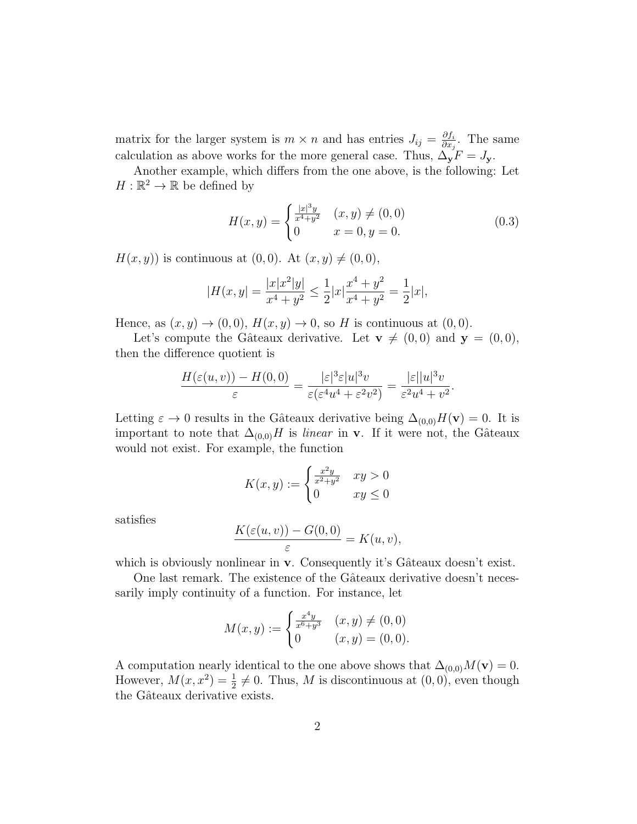matrix for the larger system is  $m \times n$  and has entries  $J_{ij} = \frac{\partial f_i}{\partial x_i}$  $\frac{\partial f_i}{\partial x_j}$ . The same calculation as above works for the more general case. Thus,  $\Delta_y F = J_y$ .

Another example, which differs from the one above, is the following: Let  $H:\mathbb{R}^2\to\mathbb{R}$  be defined by

<span id="page-1-0"></span>
$$
H(x,y) = \begin{cases} \frac{|x|^3 y}{x^4 + y^2} & (x,y) \neq (0,0) \\ 0 & x = 0, y = 0. \end{cases}
$$
 (0.3)

 $H(x, y)$  is continuous at  $(0, 0)$ . At  $(x, y) \neq (0, 0)$ ,

$$
|H(x,y)| = \frac{|x|x^2|y|}{x^4 + y^2} \le \frac{1}{2}|x|\frac{x^4 + y^2}{x^4 + y^2} = \frac{1}{2}|x|,
$$

Hence, as  $(x, y) \rightarrow (0, 0)$ ,  $H(x, y) \rightarrow 0$ , so H is continuous at  $(0, 0)$ .

Let's compute the Gâteaux derivative. Let  $\mathbf{v} \neq (0, 0)$  and  $\mathbf{y} = (0, 0)$ , then the difference quotient is

$$
\frac{H(\varepsilon(u,v)) - H(0,0)}{\varepsilon} = \frac{|\varepsilon|^3 \varepsilon |u|^3 v}{\varepsilon(\varepsilon^4 u^4 + \varepsilon^2 v^2)} = \frac{|\varepsilon| |u|^3 v}{\varepsilon^2 u^4 + v^2}.
$$

Letting  $\varepsilon \to 0$  results in the Gâteaux derivative being  $\Delta_{(0,0)}H(\mathbf{v})=0$ . It is important to note that  $\Delta_{(0,0)}H$  is *linear* in v. If it were not, the Gâteaux would not exist. For example, the function

$$
K(x,y) := \begin{cases} \frac{x^2y}{x^2+y^2} & xy > 0\\ 0 & xy \le 0 \end{cases}
$$

satisfies

$$
\frac{K(\varepsilon(u,v)) - G(0,0)}{\varepsilon} = K(u,v),
$$

which is obviously nonlinear in  $v$ . Consequently it's Gâteaux doesn't exist.

One last remark. The existence of the Gâteaux derivative doesn't necessarily imply continuity of a function. For instance, let

$$
M(x,y) := \begin{cases} \frac{x^4y}{x^6+y^3} & (x,y) \neq (0,0) \\ 0 & (x,y) = (0,0). \end{cases}
$$

A computation nearly identical to the one above shows that  $\Delta_{(0,0)}M(\mathbf{v})=0$ . However,  $M(x, x^2) = \frac{1}{2} \neq 0$ . Thus, M is discontinuous at  $(0, 0)$ , even though the Gâteaux derivative exists.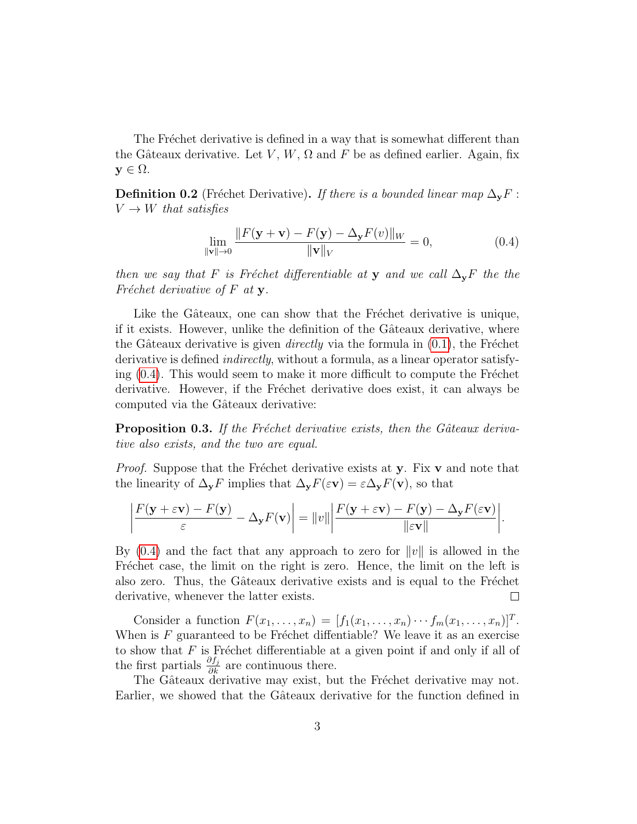The Fréchet derivative is defined in a way that is somewhat different than the Gâteaux derivative. Let V, W,  $\Omega$  and F be as defined earlier. Again, fix  $y \in \Omega$ .

**Definition 0.2** (Fréchet Derivative). If there is a bounded linear map  $\Delta_y F$ :  $V \rightarrow W$  that satisfies

<span id="page-2-0"></span>
$$
\lim_{\|\mathbf{v}\|\to 0} \frac{\|F(\mathbf{y} + \mathbf{v}) - F(\mathbf{y}) - \Delta_{\mathbf{y}} F(v)\|_{W}}{\|\mathbf{v}\|_{V}} = 0,
$$
\n(0.4)

then we say that F is Fréchet differentiable at y and we call  $\Delta_{\mathbf{y}}F$  the the Fréchet derivative of  $F$  at  $y$ .

Like the Gâteaux, one can show that the Fréchet derivative is unique, if it exists. However, unlike the definition of the Gâteaux derivative, where the Gâteaux derivative is given *directly* via the formula in  $(0.1)$ , the Fréchet derivative is defined *indirectly*, without a formula, as a linear operator satisfying  $(0.4)$ . This would seem to make it more difficult to compute the Fréchet derivative. However, if the Fréchet derivative does exist, it can always be computed via the Gâteaux derivative:

**Proposition 0.3.** If the Fréchet derivative exists, then the Gâteaux derivative also exists, and the two are equal.

*Proof.* Suppose that the Fréchet derivative exists at y. Fix  $\bf{v}$  and note that the linearity of  $\Delta_{\mathbf{y}}F$  implies that  $\Delta_{\mathbf{y}}F(\varepsilon\mathbf{v})=\varepsilon\Delta_{\mathbf{y}}F(\mathbf{v})$ , so that

$$
\left|\frac{F(\mathbf{y}+\varepsilon\mathbf{v})-F(\mathbf{y})}{\varepsilon}-\Delta_{\mathbf{y}}F(\mathbf{v})\right|=\|v\|\left|\frac{F(\mathbf{y}+\varepsilon\mathbf{v})-F(\mathbf{y})-\Delta_{\mathbf{y}}F(\varepsilon\mathbf{v})}{\|\varepsilon\mathbf{v}\|}\right|.
$$

By  $(0.4)$  and the fact that any approach to zero for  $||v||$  is allowed in the Fréchet case, the limit on the right is zero. Hence, the limit on the left is also zero. Thus, the Gâteaux derivative exists and is equal to the Fréchet derivative, whenever the latter exists.  $\Box$ 

Consider a function  $F(x_1, ..., x_n) = [f_1(x_1, ..., x_n) \cdots f_m(x_1, ..., x_n)]^T$ . When is  $F$  guaranteed to be Fréchet diffentiable? We leave it as an exercise to show that  $F$  is Fréchet differentiable at a given point if and only if all of the first partials  $\frac{\partial f_j}{\partial k}$  are continuous there.

The Gâteaux derivative may exist, but the Fréchet derivative may not. Earlier, we showed that the Gâteaux derivative for the function defined in